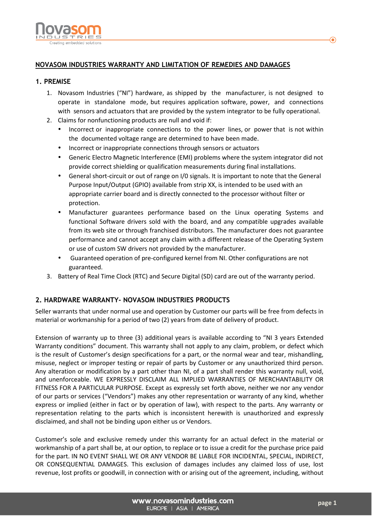

## **NOVASOM INDUSTRIES WARRANTY AND LIMITATION OF REMEDIES AND DAMAGES**

### **1. PREMISE**

- 1. Novasom Industries ("NI") hardware, as shipped by the manufacturer, is not designed to operate in standalone mode, but requires application software, power, and connections with sensors and actuators that are provided by the system integrator to be fully operational.
- 2. Claims for nonfunctioning products are null and void if:
	- Incorrect or inappropriate connections to the power lines, or power that is not within the documented voltage range are determined to have been made.
	- Incorrect or inappropriate connections through sensors or actuators
	- Generic Electro Magnetic Interference (EMI) problems where the system integrator did not provide correct shielding or qualification measurements during final installations.
	- General short-circuit or out of range on I/0 signals. It is important to note that the General Purpose Input/Output (GPIO) available from strip XX, is intended to be used with an appropriate carrier board and is directly connected to the processor without filter or protection.
	- Manufacturer guarantees performance based on the Linux operating Systems and functional Software drivers sold with the board, and any compatible upgrades available from its web site or through franchised distributors. The manufacturer does not guarantee performance and cannot accept any claim with a different release of the Operating System or use of custom SW drivers not provided by the manufacturer.
	- Guaranteed operation of pre-configured kernel from NI. Other configurations are not guaranteed.
- 3. Battery of Real Time Clock (RTC) and Secure Digital (SD) card are out of the warranty period.

## **2. HARDWARE WARRANTY- NOVASOM INDUSTRIES PRODUCTS**

Seller warrants that under normal use and operation by Customer our parts will be free from defects in material or workmanship for a period of two (2) years from date of delivery of product.

Extension of warranty up to three (3) additional years is available according to "NI 3 years Extended Warranty conditions" document. This warranty shall not apply to any claim, problem, or defect which is the result of Customer's design specifications for a part, or the normal wear and tear, mishandling, misuse, neglect or improper testing or repair of parts by Customer or any unauthorized third person. Any alteration or modification by a part other than NI, of a part shall render this warranty null, void, and unenforceable. WE EXPRESSLY DISCLAIM ALL IMPLIED WARRANTIES OF MERCHANTABILITY OR FITNESS FOR A PARTICULAR PURPOSE. Except as expressly set forth above, neither we nor any vendor of our parts or services ("Vendors") makes any other representation or warranty of any kind, whether express or implied (either in fact or by operation of law), with respect to the parts. Any warranty or representation relating to the parts which is inconsistent herewith is unauthorized and expressly disclaimed, and shall not be binding upon either us or Vendors.

Customer's sole and exclusive remedy under this warranty for an actual defect in the material or workmanship of a part shall be, at our option, to replace or to issue a credit for the purchase price paid for the part. IN NO EVENT SHALL WE OR ANY VENDOR BE LIABLE FOR INCIDENTAL, SPECIAL, INDIRECT, OR CONSEQUENTIAL DAMAGES. This exclusion of damages includes any claimed loss of use, lost revenue, lost profits or goodwill, in connection with or arising out of the agreement, including, without

> www.novasomindustries.com EUROPE | ASIA | AMERICA

⋒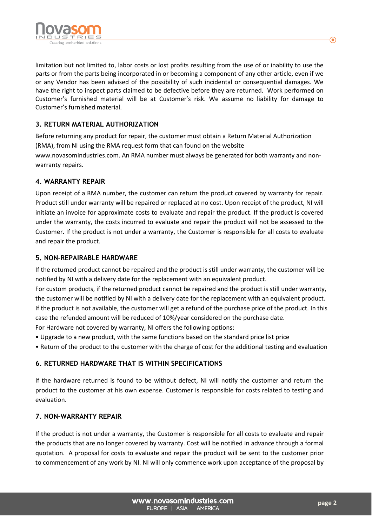

limitation but not limited to, labor costs or lost profits resulting from the use of or inability to use the parts or from the parts being incorporated in or becoming a component of any other article, even if we or any Vendor has been advised of the possibility of such incidental or consequential damages. We have the right to inspect parts claimed to be defective before they are returned. Work performed on Customer's furnished material will be at Customer's risk. We assume no liability for damage to Customer's furnished material.

# **3. RETURN MATERIAL AUTHORIZATION**

Before returning any product for repair, the customer must obtain a Return Material Authorization (RMA), from NI using the RMA request form that can found on the website www.novasomindustries.com. An RMA number must always be generated for both warranty and nonwarranty repairs.

### **4. WARRANTY REPAIR**

Upon receipt of a RMA number, the customer can return the product covered by warranty for repair. Product still under warranty will be repaired or replaced at no cost. Upon receipt of the product, NI will initiate an invoice for approximate costs to evaluate and repair the product. If the product is covered under the warranty, the costs incurred to evaluate and repair the product will not be assessed to the Customer. If the product is not under a warranty, the Customer is responsible for all costs to evaluate and repair the product.

### **5. NON-REPAIRABLE HARDWARE**

If the returned product cannot be repaired and the product is still under warranty, the customer will be notified by NI with a delivery date for the replacement with an equivalent product.

For custom products, if the returned product cannot be repaired and the product is still under warranty, the customer will be notified by NI with a delivery date for the replacement with an equivalent product. If the product is not available, the customer will get a refund of the purchase price of the product. In this case the refunded amount will be reduced of 10%/year considered on the purchase date.

For Hardware not covered by warranty, NI offers the following options:

- Upgrade to a new product, with the same functions based on the standard price list price
- Return of the product to the customer with the charge of cost for the additional testing and evaluation

## **6. RETURNED HARDWARE THAT IS WITHIN SPECIFICATIONS**

If the hardware returned is found to be without defect, NI will notify the customer and return the product to the customer at his own expense. Customer is responsible for costs related to testing and evaluation.

#### **7. NON-WARRANTY REPAIR**

If the product is not under a warranty, the Customer is responsible for all costs to evaluate and repair the products that are no longer covered by warranty. Cost will be notified in advance through a formal quotation. A proposal for costs to evaluate and repair the product will be sent to the customer prior to commencement of any work by NI. NI will only commence work upon acceptance of the proposal by

⋒